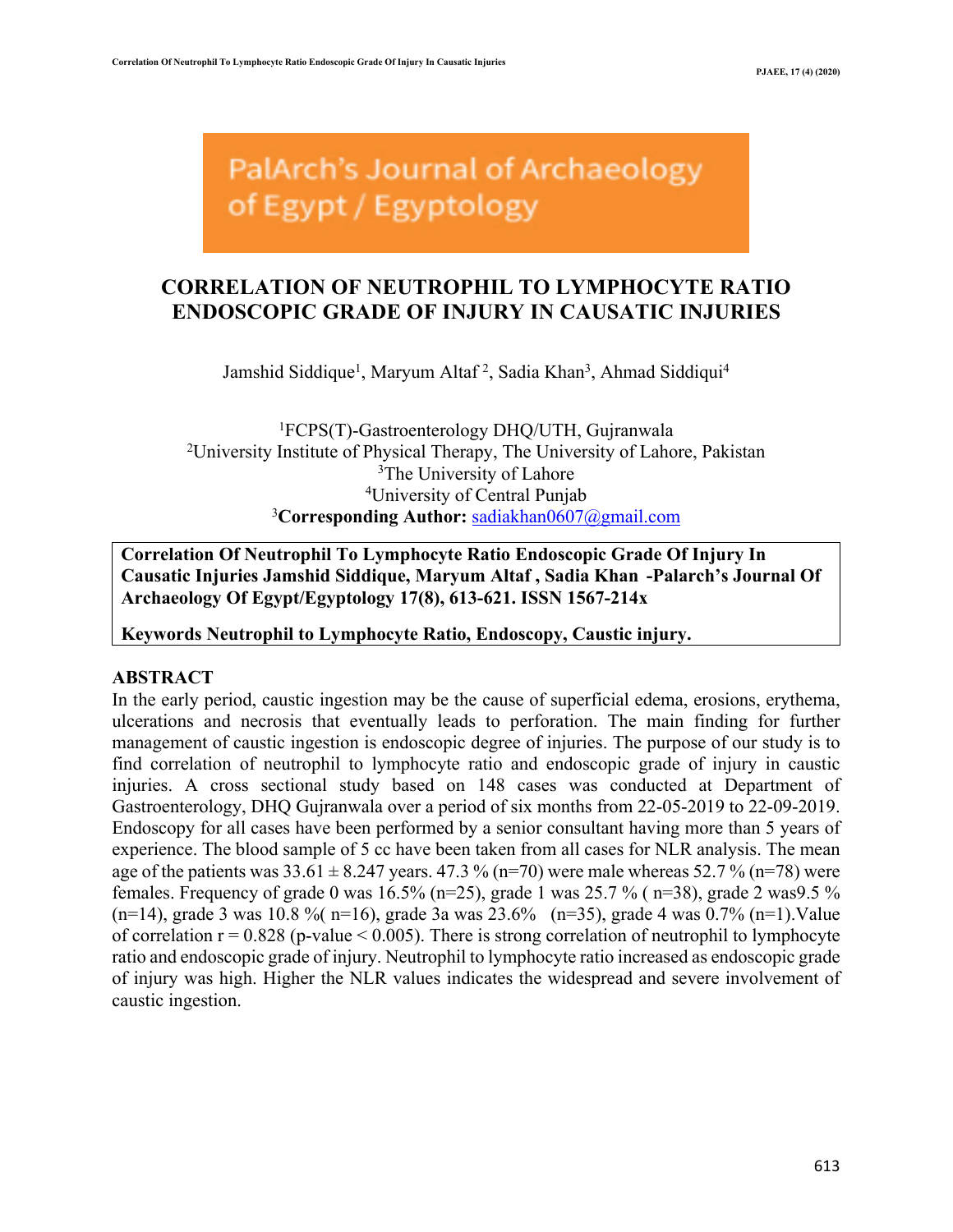PalArch's Journal of Archaeology of Egypt / Egyptology

# **CORRELATION OF NEUTROPHIL TO LYMPHOCYTE RATIO ENDOSCOPIC GRADE OF INJURY IN CAUSATIC INJURIES**

Jamshid Siddique<sup>1</sup>, Maryum Altaf<sup>2</sup>, Sadia Khan<sup>3</sup>, Ahmad Siddiqui<sup>4</sup>

1 FCPS(T)-Gastroenterology DHQ/UTH, Gujranwala <sup>2</sup>University Institute of Physical Therapy, The University of Lahore, Pakistan <sup>3</sup>The University of Lahore 4 University of Central Punjab 3 **Corresponding Author:** sadiakhan0607@gmail.com

**Correlation Of Neutrophil To Lymphocyte Ratio Endoscopic Grade Of Injury In Causatic Injuries Jamshid Siddique, Maryum Altaf , Sadia Khan -Palarch's Journal Of Archaeology Of Egypt/Egyptology 17(8), 613-621. ISSN 1567-214x**

**Keywords Neutrophil to Lymphocyte Ratio, Endoscopy, Caustic injury.**

### **ABSTRACT**

In the early period, caustic ingestion may be the cause of superficial edema, erosions, erythema, ulcerations and necrosis that eventually leads to perforation. The main finding for further management of caustic ingestion is endoscopic degree of injuries. The purpose of our study is to find correlation of neutrophil to lymphocyte ratio and endoscopic grade of injury in caustic injuries. A cross sectional study based on 148 cases was conducted at Department of Gastroenterology, DHQ Gujranwala over a period of six months from 22-05-2019 to 22-09-2019. Endoscopy for all cases have been performed by a senior consultant having more than 5 years of experience. The blood sample of 5 cc have been taken from all cases for NLR analysis. The mean age of the patients was  $33.61 \pm 8.247$  years.  $47.3\%$  (n=70) were male whereas  $52.7\%$  (n=78) were females. Frequency of grade 0 was  $16.5\%$  (n=25), grade 1 was  $25.7\%$  (n=38), grade 2 was 9.5 %  $(n=14)$ , grade 3 was 10.8 % (n=16), grade 3a was 23.6% (n=35), grade 4 was 0.7% (n=1). Value of correlation  $r = 0.828$  (p-value  $\leq 0.005$ ). There is strong correlation of neutrophil to lymphocyte ratio and endoscopic grade of injury. Neutrophil to lymphocyte ratio increased as endoscopic grade of injury was high. Higher the NLR values indicates the widespread and severe involvement of caustic ingestion.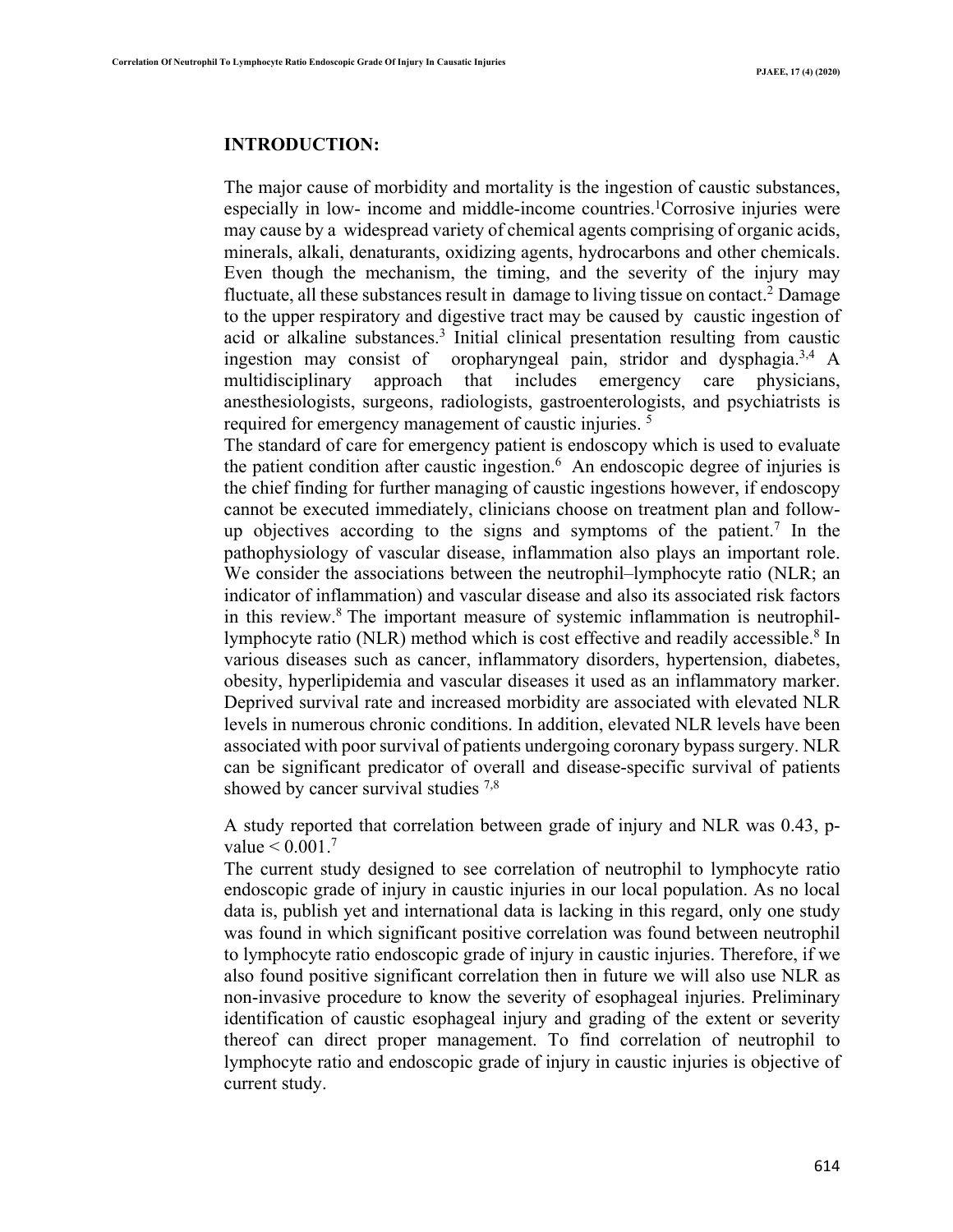#### **INTRODUCTION:**

The major cause of morbidity and mortality is the ingestion of caustic substances, especially in low- income and middle-income countries. 1 Corrosive injuries were may cause by a widespread variety of chemical agents comprising of organic acids, minerals, alkali, denaturants, oxidizing agents, hydrocarbons and other chemicals. Even though the mechanism, the timing, and the severity of the injury may fluctuate, all these substances result in damage to living tissue on contact.<sup>2</sup> Damage to the upper respiratory and digestive tract may be caused by caustic ingestion of acid or alkaline substances.3 Initial clinical presentation resulting from caustic ingestion may consist of oropharyngeal pain, stridor and dysphagia. 3,4 A multidisciplinary approach that includes emergency care physicians, anesthesiologists, surgeons, radiologists, gastroenterologists, and psychiatrists is required for emergency management of caustic injuries.<sup>5</sup>

The standard of care for emergency patient is endoscopy which is used to evaluate the patient condition after caustic ingestion. $6$  An endoscopic degree of injuries is the chief finding for further managing of caustic ingestions however, if endoscopy cannot be executed immediately, clinicians choose on treatment plan and followup objectives according to the signs and symptoms of the patient.7 In the pathophysiology of vascular disease, inflammation also plays an important role. We consider the associations between the neutrophil–lymphocyte ratio (NLR; an indicator of inflammation) and vascular disease and also its associated risk factors in this review. <sup>8</sup> The important measure of systemic inflammation is neutrophillymphocyte ratio (NLR) method which is cost effective and readily accessible. <sup>8</sup> In various diseases such as cancer, inflammatory disorders, hypertension, diabetes, obesity, hyperlipidemia and vascular diseases it used as an inflammatory marker. Deprived survival rate and increased morbidity are associated with elevated NLR levels in numerous chronic conditions. In addition, elevated NLR levels have been associated with poor survival of patients undergoing coronary bypass surgery. NLR can be significant predicator of overall and disease-specific survival of patients showed by cancer survival studies  $^{7,8}$ 

A study reported that correlation between grade of injury and NLR was 0.43, pvalue  $< 0.001$ .<sup>7</sup>

The current study designed to see correlation of neutrophil to lymphocyte ratio endoscopic grade of injury in caustic injuries in our local population. As no local data is, publish yet and international data is lacking in this regard, only one study was found in which significant positive correlation was found between neutrophil to lymphocyte ratio endoscopic grade of injury in caustic injuries. Therefore, if we also found positive significant correlation then in future we will also use NLR as non-invasive procedure to know the severity of esophageal injuries. Preliminary identification of caustic esophageal injury and grading of the extent or severity thereof can direct proper management. To find correlation of neutrophil to lymphocyte ratio and endoscopic grade of injury in caustic injuries is objective of current study.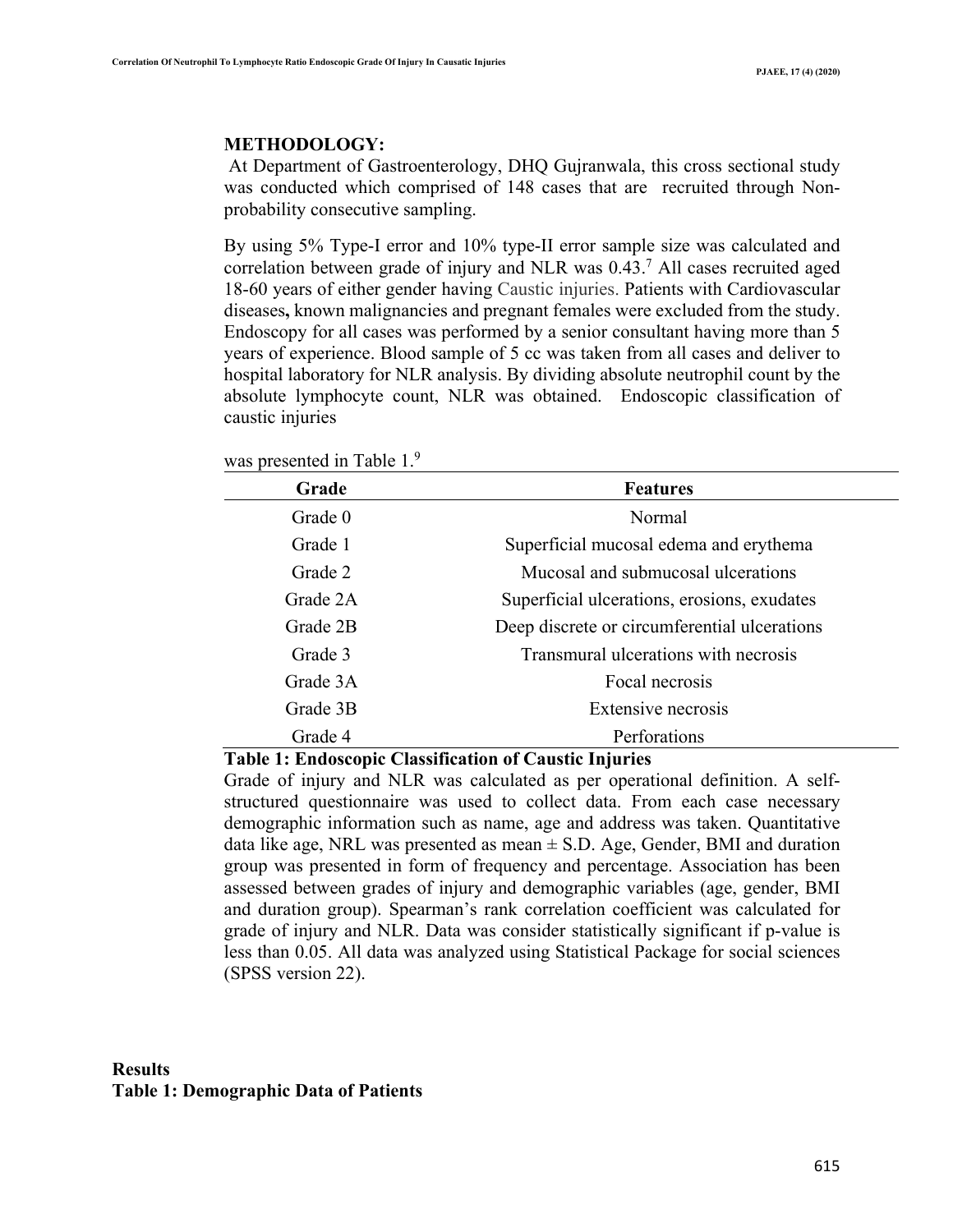#### **METHODOLOGY:**

At Department of Gastroenterology, DHQ Gujranwala, this cross sectional study was conducted which comprised of 148 cases that are recruited through Nonprobability consecutive sampling.

By using 5% Type-I error and 10% type-II error sample size was calculated and correlation between grade of injury and NLR was 0.43.7 All cases recruited aged 18-60 years of either gender having Caustic injuries. Patients with Cardiovascular diseases**,** known malignancies and pregnant females were excluded from the study. Endoscopy for all cases was performed by a senior consultant having more than 5 years of experience. Blood sample of 5 cc was taken from all cases and deliver to hospital laboratory for NLR analysis. By dividing absolute neutrophil count by the absolute lymphocyte count, NLR was obtained. Endoscopic classification of caustic injuries

was presented in Table 1.<sup>9</sup>

| Grade    | <b>Features</b>                              |
|----------|----------------------------------------------|
| Grade 0  | Normal                                       |
| Grade 1  | Superficial mucosal edema and erythema       |
| Grade 2  | Mucosal and submucosal ulcerations           |
| Grade 2A | Superficial ulcerations, erosions, exudates  |
| Grade 2B | Deep discrete or circumferential ulcerations |
| Grade 3  | Transmural ulcerations with necrosis         |
| Grade 3A | Focal necrosis                               |
| Grade 3B | Extensive necrosis                           |
| Grade 4  | Perforations                                 |

**Table 1: Endoscopic Classification of Caustic Injuries**

Grade of injury and NLR was calculated as per operational definition. A selfstructured questionnaire was used to collect data. From each case necessary demographic information such as name, age and address was taken. Quantitative data like age, NRL was presented as mean  $\pm$  S.D. Age, Gender, BMI and duration group was presented in form of frequency and percentage. Association has been assessed between grades of injury and demographic variables (age, gender, BMI and duration group). Spearman's rank correlation coefficient was calculated for grade of injury and NLR. Data was consider statistically significant if p-value is less than 0.05. All data was analyzed using Statistical Package for social sciences (SPSS version 22).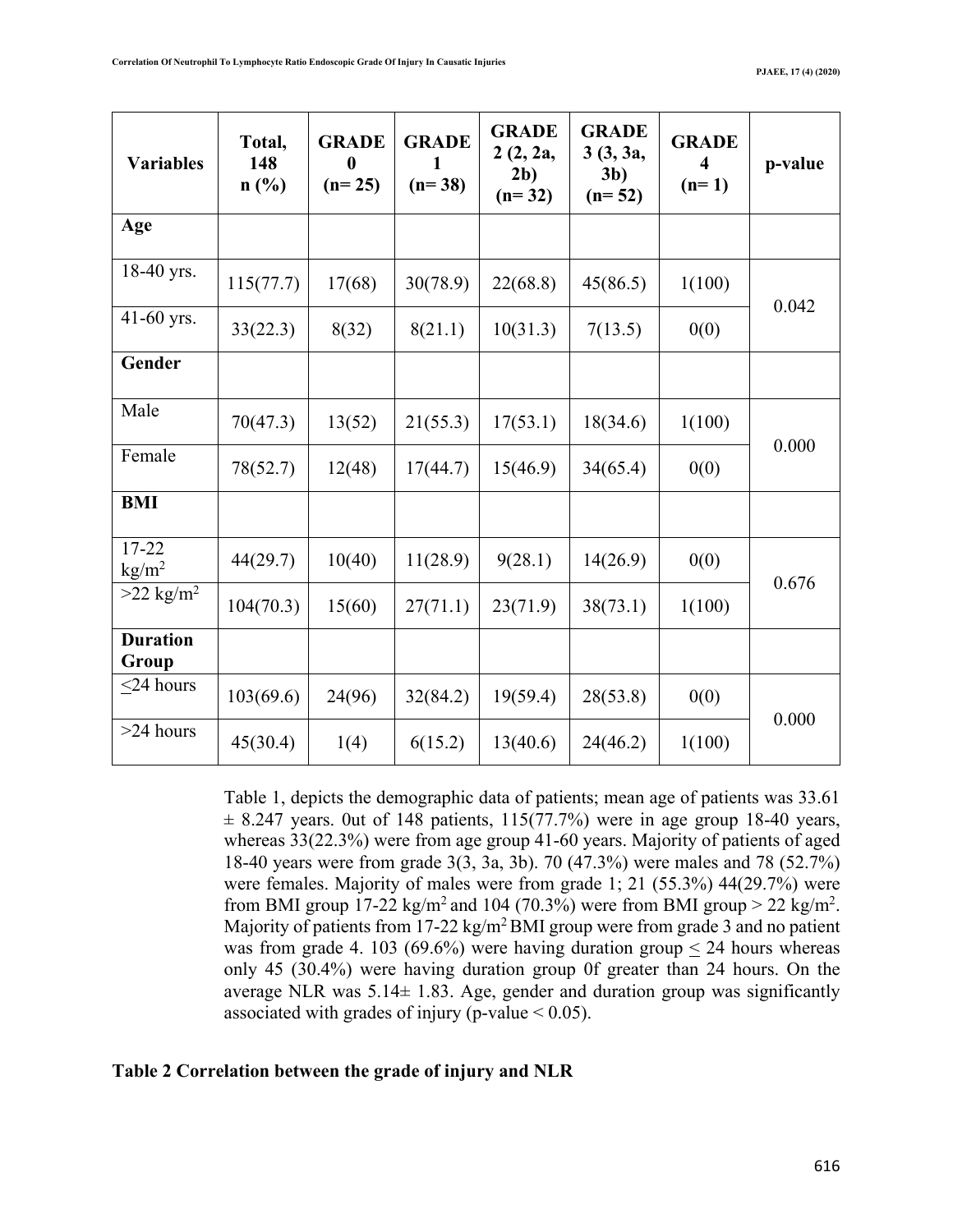| <b>Variables</b>         | Total,<br>148<br>n(%) | <b>GRADE</b><br>$\mathbf{0}$<br>$(n=25)$ | <b>GRADE</b><br>$(n=38)$ | <b>GRADE</b><br>2(2, 2a,<br>2 <sub>b</sub><br>$(n=32)$ | <b>GRADE</b><br>3(3, 3a,<br>3 <sub>b</sub><br>$(n=52)$ | <b>GRADE</b><br>$\overline{\mathbf{4}}$<br>$(n=1)$ | p-value |
|--------------------------|-----------------------|------------------------------------------|--------------------------|--------------------------------------------------------|--------------------------------------------------------|----------------------------------------------------|---------|
| Age                      |                       |                                          |                          |                                                        |                                                        |                                                    |         |
| 18-40 yrs.               | 115(77.7)             | 17(68)                                   | 30(78.9)                 | 22(68.8)                                               | 45(86.5)                                               | 1(100)                                             |         |
| 41-60 yrs.               | 33(22.3)              | 8(32)                                    | 8(21.1)                  | 10(31.3)                                               | 7(13.5)                                                | 0(0)                                               | 0.042   |
| Gender                   |                       |                                          |                          |                                                        |                                                        |                                                    |         |
| Male                     | 70(47.3)              | 13(52)                                   | 21(55.3)                 | 17(53.1)                                               | 18(34.6)                                               | 1(100)                                             | 0.000   |
| Female                   | 78(52.7)              | 12(48)                                   | 17(44.7)                 | 15(46.9)                                               | 34(65.4)                                               | 0(0)                                               |         |
| <b>BMI</b>               |                       |                                          |                          |                                                        |                                                        |                                                    |         |
| 17-22<br>$\text{kg/m}^2$ | 44(29.7)              | 10(40)                                   | 11(28.9)                 | 9(28.1)                                                | 14(26.9)                                               | 0(0)                                               |         |
| $>22$ kg/m <sup>2</sup>  | 104(70.3)             | 15(60)                                   | 27(71.1)                 | 23(71.9)                                               | 38(73.1)                                               | 1(100)                                             | 0.676   |
| <b>Duration</b><br>Group |                       |                                          |                          |                                                        |                                                        |                                                    |         |
| $\leq$ 24 hours          | 103(69.6)             | 24(96)                                   | 32(84.2)                 | 19(59.4)                                               | 28(53.8)                                               | 0(0)                                               | 0.000   |
| $>24$ hours              | 45(30.4)              | 1(4)                                     | 6(15.2)                  | 13(40.6)                                               | 24(46.2)                                               | 1(100)                                             |         |

Table 1, depicts the demographic data of patients; mean age of patients was 33.61  $\pm$  8.247 years. 0ut of 148 patients, 115(77.7%) were in age group 18-40 years, whereas 33(22.3%) were from age group 41-60 years. Majority of patients of aged 18-40 years were from grade 3(3, 3a, 3b). 70 (47.3%) were males and 78 (52.7%) were females. Majority of males were from grade 1; 21 (55.3%) 44(29.7%) were from BMI group 17-22  $\text{kg/m}^2$  and 104 (70.3%) were from BMI group > 22 kg/m<sup>2</sup>. Majority of patients from  $17-22 \text{ kg/m}^2 \text{BMI}$  group were from grade 3 and no patient was from grade 4. 103 (69.6%) were having duration group  $\leq$  24 hours whereas only 45 (30.4%) were having duration group 0f greater than 24 hours. On the average NLR was  $5.14 \pm 1.83$ . Age, gender and duration group was significantly associated with grades of injury (p-value  $\leq 0.05$ ).

## **Table 2 Correlation between the grade of injury and NLR**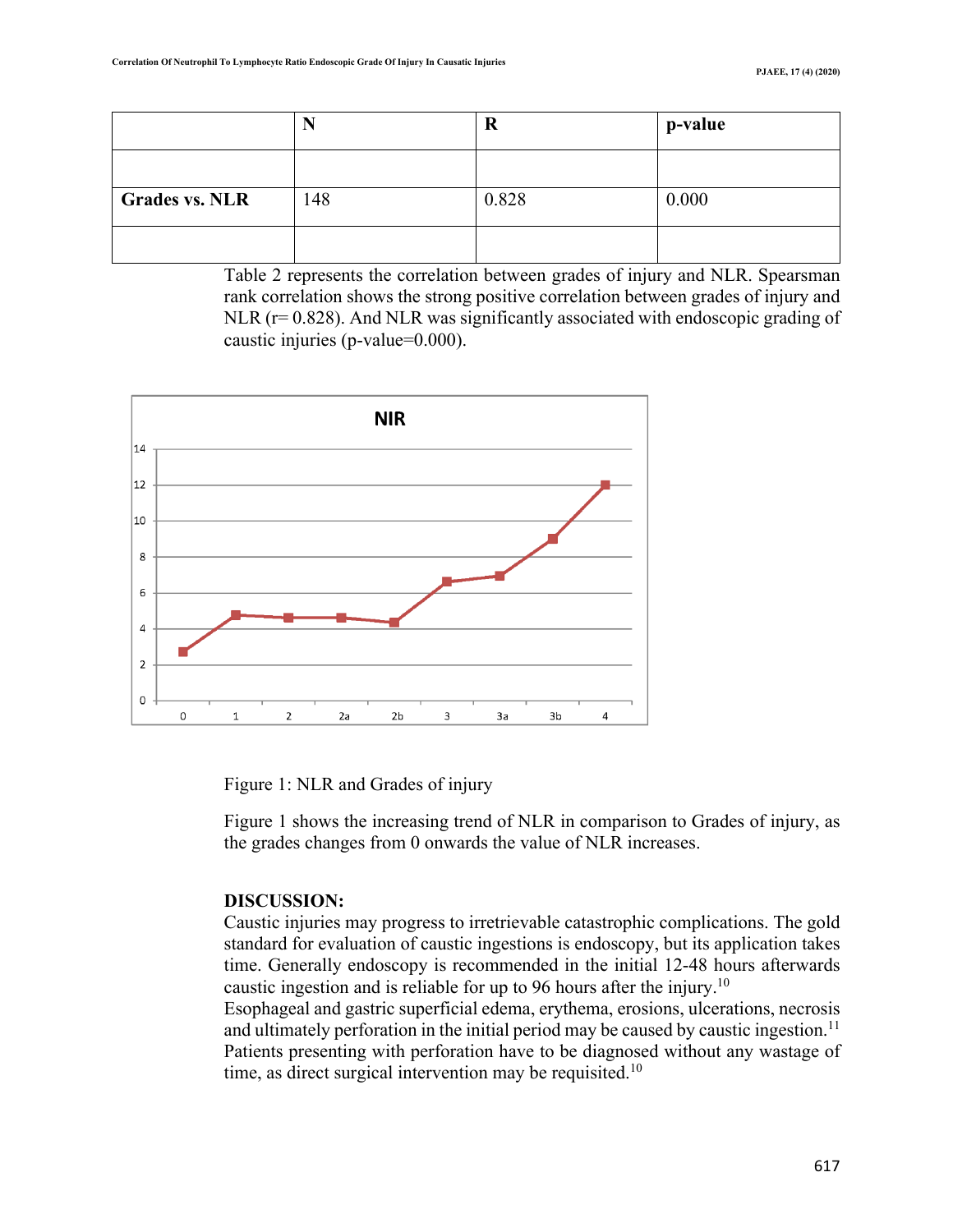|                       |     | R     | p-value |
|-----------------------|-----|-------|---------|
|                       |     |       |         |
| <b>Grades vs. NLR</b> | 148 | 0.828 | 0.000   |
|                       |     |       |         |

Table 2 represents the correlation between grades of injury and NLR. Spearsman rank correlation shows the strong positive correlation between grades of injury and NLR (r=0.828). And NLR was significantly associated with endoscopic grading of caustic injuries (p-value=0.000).



Figure 1: NLR and Grades of injury

Figure 1 shows the increasing trend of NLR in comparison to Grades of injury, as the grades changes from 0 onwards the value of NLR increases.

## **DISCUSSION:**

Caustic injuries may progress to irretrievable catastrophic complications. The gold standard for evaluation of caustic ingestions is endoscopy, but its application takes time. Generally endoscopy is recommended in the initial 12-48 hours afterwards caustic ingestion and is reliable for up to 96 hours after the injury.<sup>10</sup>

Esophageal and gastric superficial edema, erythema, erosions, ulcerations, necrosis and ultimately perforation in the initial period may be caused by caustic ingestion.<sup>11</sup> Patients presenting with perforation have to be diagnosed without any wastage of time, as direct surgical intervention may be requisited.<sup>10</sup>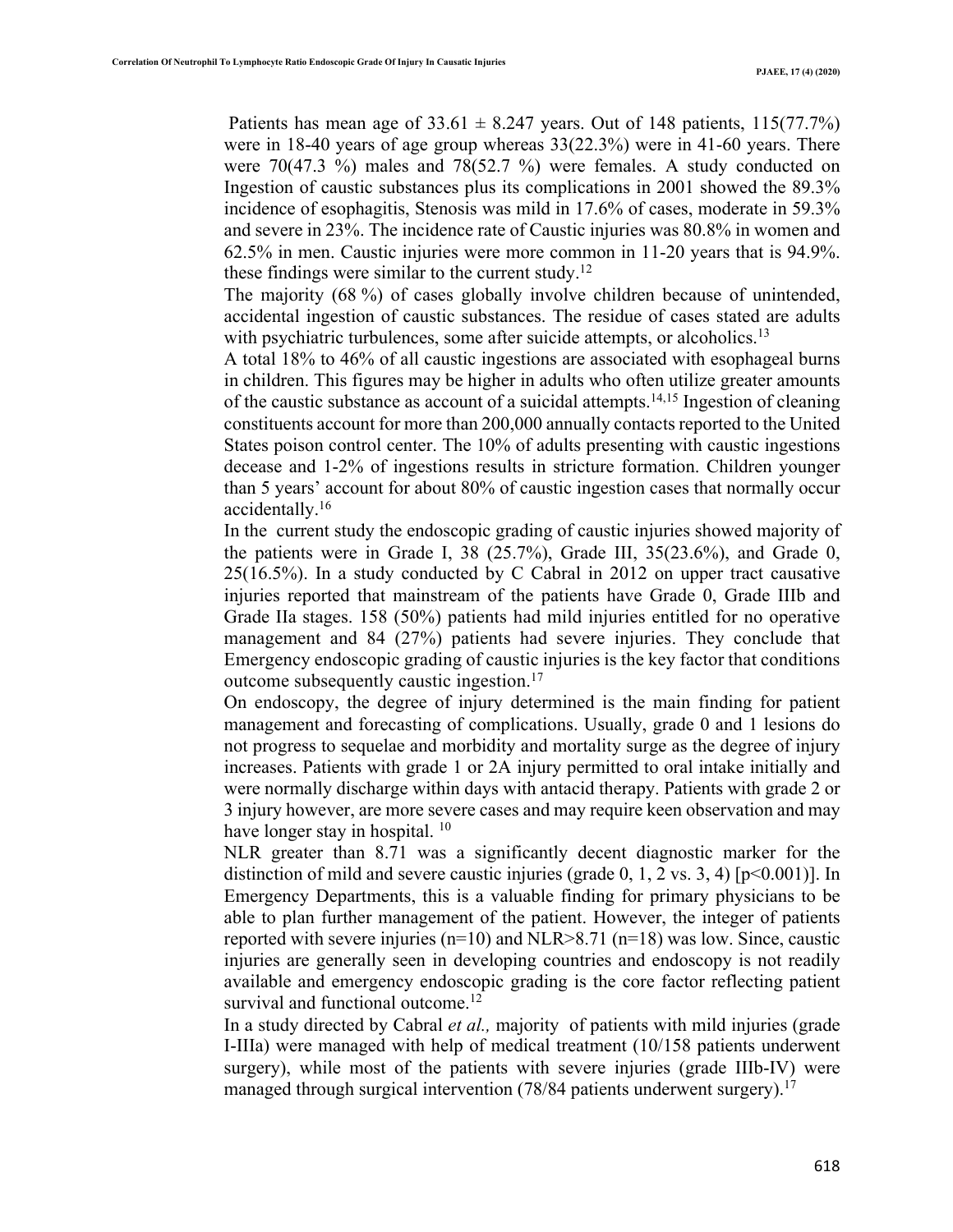Patients has mean age of  $33.61 \pm 8.247$  years. Out of 148 patients, 115(77.7%) were in 18-40 years of age group whereas 33(22.3%) were in 41-60 years. There were  $70(47.3 \%)$  males and  $78(52.7 \%)$  were females. A study conducted on Ingestion of caustic substances plus its complications in 2001 showed the 89.3% incidence of esophagitis, Stenosis was mild in 17.6% of cases, moderate in 59.3% and severe in 23%. The incidence rate of Caustic injuries was 80.8% in women and 62.5% in men. Caustic injuries were more common in 11-20 years that is 94.9%. these findings were similar to the current study.<sup>12</sup>

The majority (68 %) of cases globally involve children because of unintended, accidental ingestion of caustic substances. The residue of cases stated are adults with psychiatric turbulences, some after suicide attempts, or alcoholics.<sup>13</sup>

A total 18% to 46% of all caustic ingestions are associated with esophageal burns in children. This figures may be higher in adults who often utilize greater amounts of the caustic substance as account of a suicidal attempts.<sup>14,15</sup> Ingestion of cleaning constituents account for more than 200,000 annually contacts reported to the United States poison control center. The 10% of adults presenting with caustic ingestions decease and 1-2% of ingestions results in stricture formation. Children younger than 5 years' account for about 80% of caustic ingestion cases that normally occur accidentally. 16

In the current study the endoscopic grading of caustic injuries showed majority of the patients were in Grade I, 38  $(25.7\%)$ , Grade III, 35 $(23.6\%)$ , and Grade 0, 25(16.5%). In a study conducted by C Cabral in 2012 on upper tract causative injuries reported that mainstream of the patients have Grade 0, Grade IIIb and Grade IIa stages. 158 (50%) patients had mild injuries entitled for no operative management and 84 (27%) patients had severe injuries. They conclude that Emergency endoscopic grading of caustic injuries is the key factor that conditions outcome subsequently caustic ingestion.<sup>17</sup>

On endoscopy, the degree of injury determined is the main finding for patient management and forecasting of complications. Usually, grade 0 and 1 lesions do not progress to sequelae and morbidity and mortality surge as the degree of injury increases. Patients with grade 1 or 2A injury permitted to oral intake initially and were normally discharge within days with antacid therapy. Patients with grade 2 or 3 injury however, are more severe cases and may require keen observation and may have longer stay in hospital. <sup>10</sup>

NLR greater than 8.71 was a significantly decent diagnostic marker for the distinction of mild and severe caustic injuries (grade 0, 1, 2 vs. 3, 4) [ $p \le 0.001$ ]. In Emergency Departments, this is a valuable finding for primary physicians to be able to plan further management of the patient. However, the integer of patients reported with severe injuries ( $n=10$ ) and NLR $>8.71$  ( $n=18$ ) was low. Since, caustic injuries are generally seen in developing countries and endoscopy is not readily available and emergency endoscopic grading is the core factor reflecting patient survival and functional outcome.<sup>12</sup>

In a study directed by Cabral *et al.,* majority of patients with mild injuries (grade I-IIIa) were managed with help of medical treatment (10/158 patients underwent surgery), while most of the patients with severe injuries (grade IIIb-IV) were managed through surgical intervention (78/84 patients underwent surgery).<sup>17</sup>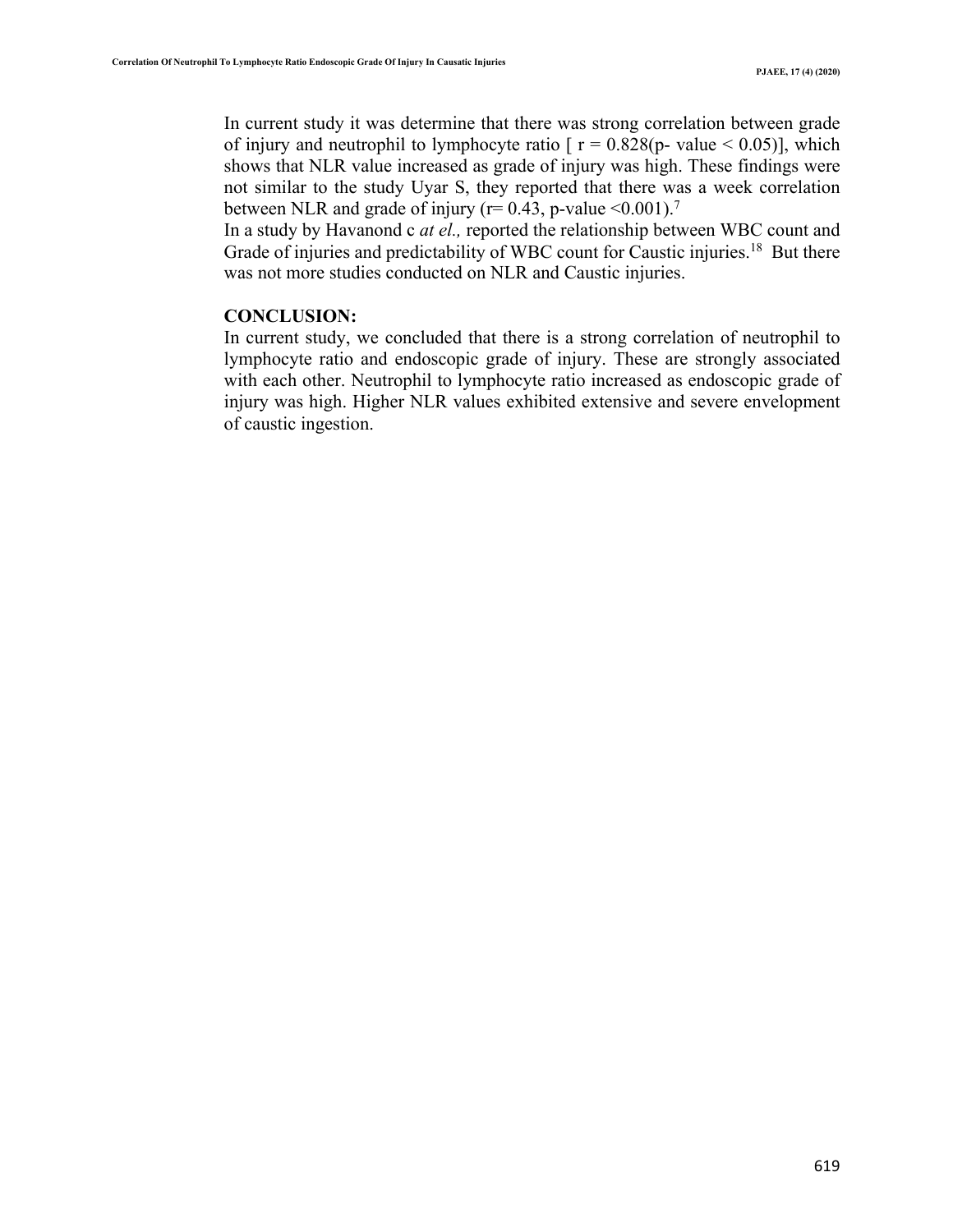In current study it was determine that there was strong correlation between grade of injury and neutrophil to lymphocyte ratio  $\lceil r = 0.828(p - value \le 0.05) \rceil$ , which shows that NLR value increased as grade of injury was high. These findings were not similar to the study Uyar S, they reported that there was a week correlation between NLR and grade of injury ( $r= 0.43$ , p-value <0.001).<sup>7</sup>

In a study by Havanond c *at el.,* reported the relationship between WBC count and Grade of injuries and predictability of WBC count for Caustic injuries.<sup>18</sup> But there was not more studies conducted on NLR and Caustic injuries.

### **CONCLUSION:**

In current study, we concluded that there is a strong correlation of neutrophil to lymphocyte ratio and endoscopic grade of injury. These are strongly associated with each other. Neutrophil to lymphocyte ratio increased as endoscopic grade of injury was high. Higher NLR values exhibited extensive and severe envelopment of caustic ingestion.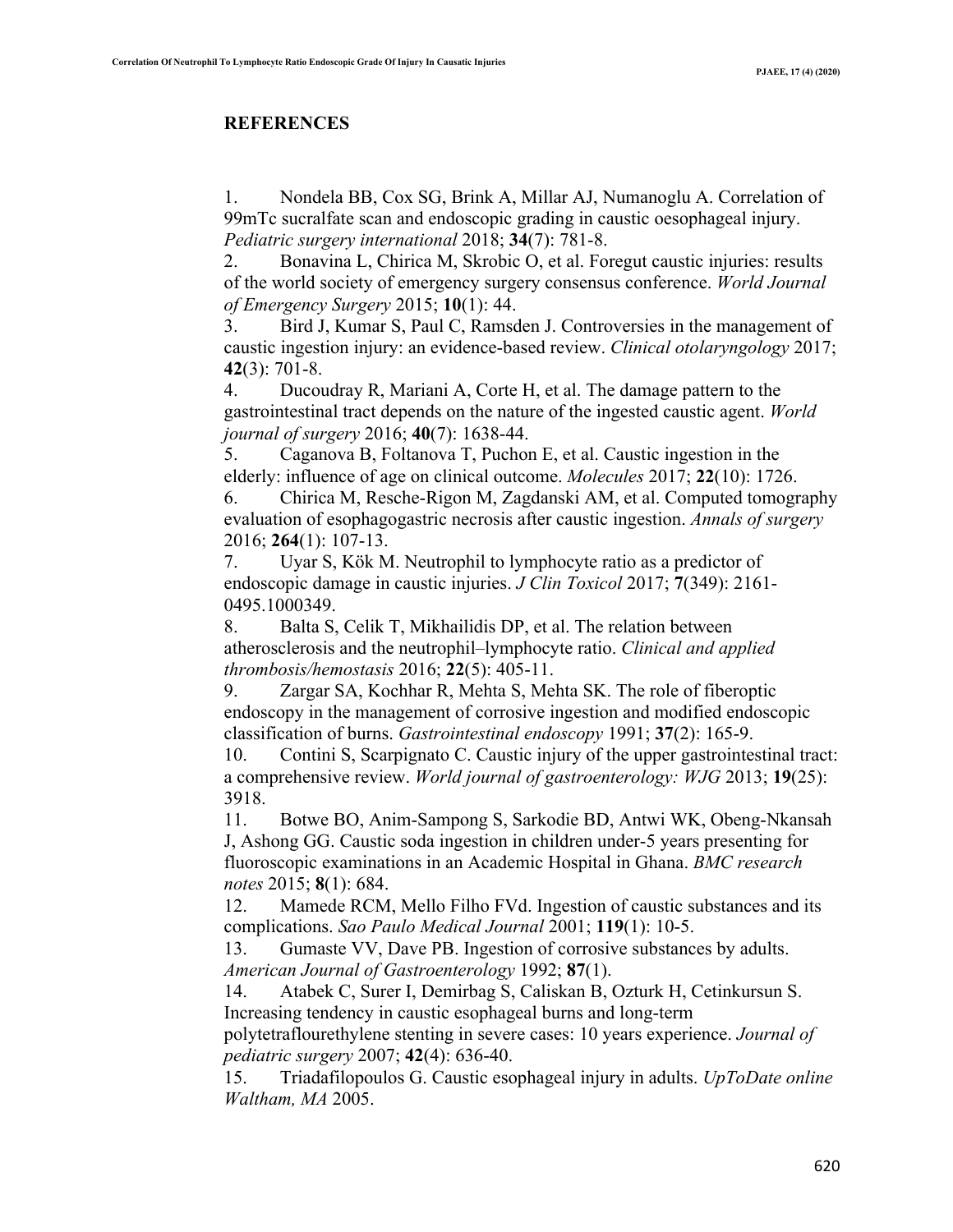## **REFERENCES**

1. Nondela BB, Cox SG, Brink A, Millar AJ, Numanoglu A. Correlation of 99mTc sucralfate scan and endoscopic grading in caustic oesophageal injury. *Pediatric surgery international* 2018; **34**(7): 781-8.

2. Bonavina L, Chirica M, Skrobic O, et al. Foregut caustic injuries: results of the world society of emergency surgery consensus conference. *World Journal of Emergency Surgery* 2015; **10**(1): 44.

3. Bird J, Kumar S, Paul C, Ramsden J. Controversies in the management of caustic ingestion injury: an evidence‐based review. *Clinical otolaryngology* 2017; **42**(3): 701-8.

4. Ducoudray R, Mariani A, Corte H, et al. The damage pattern to the gastrointestinal tract depends on the nature of the ingested caustic agent. *World journal of surgery* 2016; **40**(7): 1638-44.

5. Caganova B, Foltanova T, Puchon E, et al. Caustic ingestion in the elderly: influence of age on clinical outcome. *Molecules* 2017; **22**(10): 1726.

6. Chirica M, Resche-Rigon M, Zagdanski AM, et al. Computed tomography evaluation of esophagogastric necrosis after caustic ingestion. *Annals of surgery* 2016; **264**(1): 107-13.

7. Uyar S, Kök M. Neutrophil to lymphocyte ratio as a predictor of endoscopic damage in caustic injuries. *J Clin Toxicol* 2017; **7**(349): 2161- 0495.1000349.

8. Balta S, Celik T, Mikhailidis DP, et al. The relation between atherosclerosis and the neutrophil–lymphocyte ratio. *Clinical and applied thrombosis/hemostasis* 2016; **22**(5): 405-11.

9. Zargar SA, Kochhar R, Mehta S, Mehta SK. The role of fiberoptic endoscopy in the management of corrosive ingestion and modified endoscopic classification of burns. *Gastrointestinal endoscopy* 1991; **37**(2): 165-9.

10. Contini S, Scarpignato C. Caustic injury of the upper gastrointestinal tract: a comprehensive review. *World journal of gastroenterology: WJG* 2013; **19**(25): 3918.

11. Botwe BO, Anim-Sampong S, Sarkodie BD, Antwi WK, Obeng-Nkansah J, Ashong GG. Caustic soda ingestion in children under-5 years presenting for fluoroscopic examinations in an Academic Hospital in Ghana. *BMC research notes* 2015; **8**(1): 684.

12. Mamede RCM, Mello Filho FVd. Ingestion of caustic substances and its complications. *Sao Paulo Medical Journal* 2001; **119**(1): 10-5.

13. Gumaste VV, Dave PB. Ingestion of corrosive substances by adults. *American Journal of Gastroenterology* 1992; **87**(1).

14. Atabek C, Surer I, Demirbag S, Caliskan B, Ozturk H, Cetinkursun S. Increasing tendency in caustic esophageal burns and long-term

polytetraflourethylene stenting in severe cases: 10 years experience. *Journal of pediatric surgery* 2007; **42**(4): 636-40.

15. Triadafilopoulos G. Caustic esophageal injury in adults. *UpToDate online Waltham, MA* 2005.